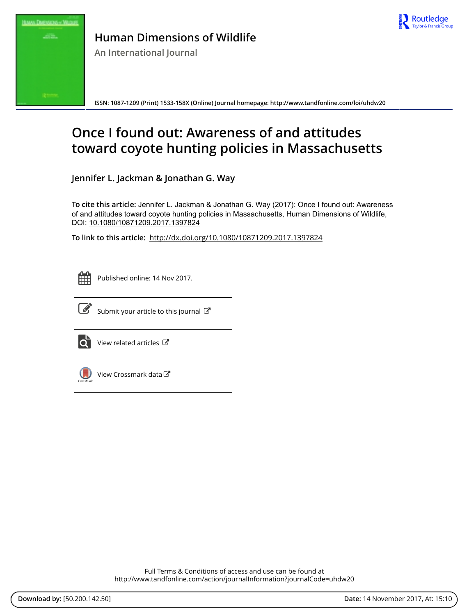



# **Human Dimensions of Wildlife**

**An International Journal**

**ISSN: 1087-1209 (Print) 1533-158X (Online) Journal homepage: <http://www.tandfonline.com/loi/uhdw20>**

# **Once I found out: Awareness of and attitudes toward coyote hunting policies in Massachusetts**

**Jennifer L. Jackman & Jonathan G. Way**

**To cite this article:** Jennifer L. Jackman & Jonathan G. Way (2017): Once I found out: Awareness of and attitudes toward coyote hunting policies in Massachusetts, Human Dimensions of Wildlife, DOI: [10.1080/10871209.2017.1397824](http://www.tandfonline.com/action/showCitFormats?doi=10.1080/10871209.2017.1397824)

**To link to this article:** <http://dx.doi.org/10.1080/10871209.2017.1397824>



Published online: 14 Nov 2017.



 $\overrightarrow{S}$  [Submit your article to this journal](http://www.tandfonline.com/action/authorSubmission?journalCode=uhdw20&show=instructions)  $\overrightarrow{S}$ 



 $\overrightarrow{Q}$  [View related articles](http://www.tandfonline.com/doi/mlt/10.1080/10871209.2017.1397824)  $\overrightarrow{C}$ 



 $\bigcirc$  [View Crossmark data](http://crossmark.crossref.org/dialog/?doi=10.1080/10871209.2017.1397824&domain=pdf&date_stamp=2017-11-14) $\mathbb{Z}$ 

Full Terms & Conditions of access and use can be found at <http://www.tandfonline.com/action/journalInformation?journalCode=uhdw20>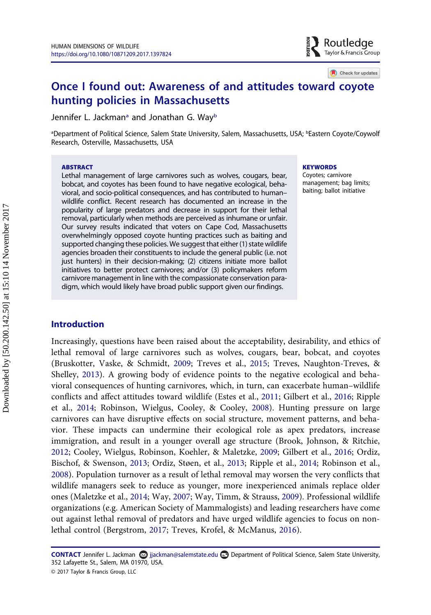## Once I found out: Awareness of and attitudes toward coyote hunting policies in Massachusetts

Jennifer L. Jackman<sup>a</sup> and Jo[na](#page-1-0)than G. Way<sup>[b](#page-1-0)</sup>

<span id="page-1-0"></span><sup>a</sup>Department of Political Science, Salem State University, Salem, Massachusetts, USA; <sup>ь</sup>Eastern Coyote/Coywolf Research, Osterville, Massachusetts, USA

#### **ABSTRACT**

Lethal management of large carnivores such as wolves, cougars, bear, bobcat, and coyotes has been found to have negative ecological, behavioral, and socio-political consequences, and has contributed to human– wildlife conflict. Recent research has documented an increase in the popularity of large predators and decrease in support for their lethal removal, particularly when methods are perceived as inhumane or unfair. Our survey results indicated that voters on Cape Cod, Massachusetts overwhelmingly opposed coyote hunting practices such as baiting and supported changing these policies. We suggest that either (1) state wildlife agencies broaden their constituents to include the general public (i.e. not just hunters) in their decision-making; (2) citizens initiate more ballot initiatives to better protect carnivores; and/or (3) policymakers reform carnivore management in line with the compassionate conservation paradigm, which would likely have broad public support given our findings.

#### **KEYWORDS**

Coyotes; carnivore management; bag limits; baiting; ballot initiative

 $\blacktriangleright$  Routledge Taylor & Francis Group

Check for updates

### Introduction

Increasingly, questions have been raised about the acceptability, desirability, and ethics of lethal removal of large carnivores such as wolves, cougars, bear, bobcat, and coyotes (Bruskotter, Vaske, & Schmidt, [2009](#page-7-0); Treves et al., [2015;](#page-8-0) Treves, Naughton-Treves, & Shelley, [2013](#page-9-0)). A growing body of evidence points to the negative ecological and behavioral consequences of hunting carnivores, which, in turn, can exacerbate human–wildlife conflicts and affect attitudes toward wildlife (Estes et al., [2011;](#page-7-1) Gilbert et al., [2016](#page-7-2); Ripple et al., [2014](#page-8-1); Robinson, Wielgus, Cooley, & Cooley, [2008\)](#page-8-2). Hunting pressure on large carnivores can have disruptive effects on social structure, movement patterns, and behavior. These impacts can undermine their ecological role as apex predators, increase immigration, and result in a younger overall age structure (Brook, Johnson, & Ritchie, [2012](#page-7-3); Cooley, Wielgus, Robinson, Koehler, & Maletzke, [2009](#page-7-4); Gilbert et al., [2016](#page-7-2); Ordiz, Bischof, & Swenson, [2013](#page-8-3); Ordiz, Støen, et al., [2013;](#page-8-3) Ripple et al., [2014](#page-8-1); Robinson et al., [2008](#page-8-2)). Population turnover as a result of lethal removal may worsen the very conflicts that wildlife managers seek to reduce as younger, more inexperienced animals replace older ones (Maletzke et al., [2014](#page-8-4); Way, [2007;](#page-9-1) Way, Timm, & Strauss, [2009\)](#page-9-2). Professional wildlife organizations (e.g. American Society of Mammalogists) and leading researchers have come out against lethal removal of predators and have urged wildlife agencies to focus on nonlethal control (Bergstrom, [2017;](#page-7-5) Treves, Krofel, & McManus, [2016\)](#page-9-3).

CONTACT Jennifer L. Jackman @ jjackman@salemstate.edu Department of Political Science, Salem State University, 352 Lafayette St., Salem, MA 01970, USA.

<sup>© 2017</sup> Taylor & Francis Group, LLC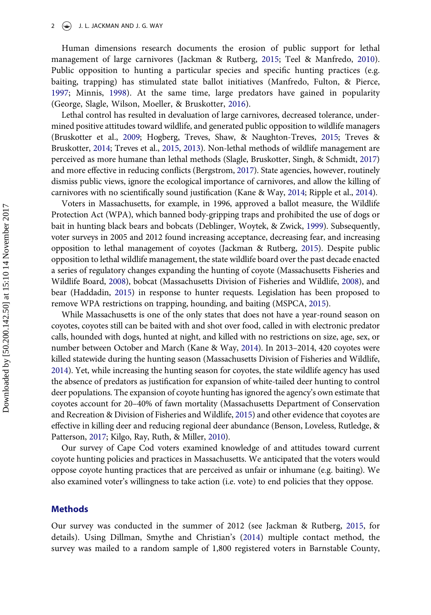Human dimensions research documents the erosion of public support for lethal management of large carnivores (Jackman & Rutberg, [2015](#page-8-5); Teel & Manfredo, [2010](#page-8-6)). Public opposition to hunting a particular species and specific hunting practices (e.g. baiting, trapping) has stimulated state ballot initiatives (Manfredo, Fulton, & Pierce, [1997](#page-8-7); Minnis, [1998\)](#page-8-8). At the same time, large predators have gained in popularity (George, Slagle, Wilson, Moeller, & Bruskotter, [2016](#page-7-6)).

Lethal control has resulted in devaluation of large carnivores, decreased tolerance, undermined positive attitudes toward wildlife, and generated public opposition to wildlife managers (Bruskotter et al., [2009;](#page-7-0) Hogberg, Treves, Shaw, & Naughton-Treves, [2015](#page-7-7); Treves & Bruskotter, [2014;](#page-8-9) Treves et al., [2015](#page-8-0), [2013](#page-9-0)). Non-lethal methods of wildlife management are perceived as more humane than lethal methods (Slagle, Bruskotter, Singh, & Schmidt, [2017\)](#page-8-10) and more effective in reducing conflicts (Bergstrom, [2017\)](#page-7-5). State agencies, however, routinely dismiss public views, ignore the ecological importance of carnivores, and allow the killing of carnivores with no scientifically sound justification (Kane & Way, [2014](#page-8-11); Ripple et al., [2014\)](#page-8-1).

Voters in Massachusetts, for example, in 1996, approved a ballot measure, the Wildlife Protection Act (WPA), which banned body-gripping traps and prohibited the use of dogs or bait in hunting black bears and bobcats (Deblinger, Woytek, & Zwick, [1999](#page-7-8)). Subsequently, voter surveys in 2005 and 2012 found increasing acceptance, decreasing fear, and increasing opposition to lethal management of coyotes (Jackman & Rutberg, [2015\)](#page-8-5). Despite public opposition to lethal wildlife management, the state wildlife board over the past decade enacted a series of regulatory changes expanding the hunting of coyote (Massachusetts Fisheries and Wildlife Board, [2008\)](#page-8-12), bobcat (Massachusetts Division of Fisheries and Wildlife, [2008](#page-8-12)), and bear (Haddadin, [2015\)](#page-7-9) in response to hunter requests. Legislation has been proposed to remove WPA restrictions on trapping, hounding, and baiting (MSPCA, [2015\)](#page-8-13).

While Massachusetts is one of the only states that does not have a year-round season on coyotes, coyotes still can be baited with and shot over food, called in with electronic predator calls, hounded with dogs, hunted at night, and killed with no restrictions on size, age, sex, or number between October and March (Kane & Way, [2014\)](#page-8-11). In 2013–2014, 420 coyotes were killed statewide during the hunting season (Massachusetts Division of Fisheries and Wildlife, [2014\)](#page-8-14). Yet, while increasing the hunting season for coyotes, the state wildlife agency has used the absence of predators as justification for expansion of white-tailed deer hunting to control deer populations. The expansion of coyote hunting has ignored the agency's own estimate that coyotes account for 20–40% of fawn mortality (Massachusetts Department of Conservation and Recreation & Division of Fisheries and Wildlife, [2015\)](#page-8-15) and other evidence that coyotes are effective in killing deer and reducing regional deer abundance (Benson, Loveless, Rutledge, & Patterson, [2017](#page-7-10); Kilgo, Ray, Ruth, & Miller, [2010](#page-8-16)).

Our survey of Cape Cod voters examined knowledge of and attitudes toward current coyote hunting policies and practices in Massachusetts. We anticipated that the voters would oppose coyote hunting practices that are perceived as unfair or inhumane (e.g. baiting). We also examined voter's willingness to take action (i.e. vote) to end policies that they oppose.

#### Methods

Our survey was conducted in the summer of 2012 (see Jackman & Rutberg, [2015](#page-8-5), for details). Using Dillman, Smythe and Christian's [\(2014](#page-7-11)) multiple contact method, the survey was mailed to a random sample of 1,800 registered voters in Barnstable County,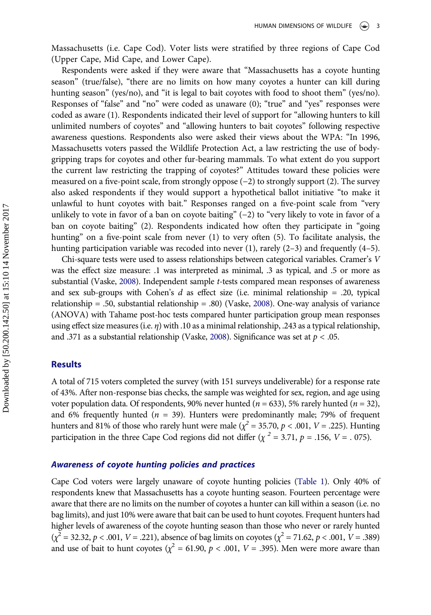Massachusetts (i.e. Cape Cod). Voter lists were stratified by three regions of Cape Cod (Upper Cape, Mid Cape, and Lower Cape).

Respondents were asked if they were aware that "Massachusetts has a coyote hunting season" (true/false), "there are no limits on how many coyotes a hunter can kill during hunting season" (yes/no), and "it is legal to bait coyotes with food to shoot them" (yes/no). Responses of "false" and "no" were coded as unaware (0); "true" and "yes" responses were coded as aware (1). Respondents indicated their level of support for "allowing hunters to kill unlimited numbers of coyotes" and "allowing hunters to bait coyotes" following respective awareness questions. Respondents also were asked their views about the WPA: "In 1996, Massachusetts voters passed the Wildlife Protection Act, a law restricting the use of bodygripping traps for coyotes and other fur-bearing mammals. To what extent do you support the current law restricting the trapping of coyotes?" Attitudes toward these policies were measured on a five-point scale, from strongly oppose (−2) to strongly support (2). The survey also asked respondents if they would support a hypothetical ballot initiative "to make it unlawful to hunt coyotes with bait." Responses ranged on a five-point scale from "very unlikely to vote in favor of a ban on coyote baiting" (−2) to "very likely to vote in favor of a ban on coyote baiting" (2). Respondents indicated how often they participate in "going hunting" on a five-point scale from never (1) to very often (5). To facilitate analysis, the hunting participation variable was recoded into never (1), rarely (2–3) and frequently (4–5).

Chi-square tests were used to assess relationships between categorical variables. Cramer's V was the effect size measure: .1 was interpreted as minimal, .3 as typical, and .5 or more as substantial (Vaske, [2008\)](#page-9-4). Independent sample t-tests compared mean responses of awareness and sex sub-groups with Cohen's  $d$  as effect size (i.e. minimal relationship = .20, typical relationship = .50, substantial relationship = .80) (Vaske, [2008](#page-9-4)). One-way analysis of variance (ANOVA) with Tahame post-hoc tests compared hunter participation group mean responses using effect size measures (i.e.  $\eta$ ) with .10 as a minimal relationship, .243 as a typical relationship, and .371 as a substantial relationship (Vaske, [2008\)](#page-9-4). Significance was set at  $p < .05$ .

#### Results

A total of 715 voters completed the survey (with 151 surveys undeliverable) for a response rate of 43%. After non-response bias checks, the sample was weighted for sex, region, and age using voter population data. Of respondents, 90% never hunted ( $n = 633$ ), 5% rarely hunted ( $n = 32$ ), and 6% frequently hunted ( $n = 39$ ). Hunters were predominantly male; 79% of frequent hunters and 81% of those who rarely hunt were male ( $\chi^2$  = 35.70, p < .001, V = .225). Hunting participation in the three Cape Cod regions did not differ ( $\chi^2$  = 3.71,  $p$  = .156, V = .075).

#### Awareness of coyote hunting policies and practices

Cape Cod voters were largely unaware of coyote hunting policies ([Table 1](#page-4-0)). Only 40% of respondents knew that Massachusetts has a coyote hunting season. Fourteen percentage were aware that there are no limits on the number of coyotes a hunter can kill within a season (i.e. no bag limits), and just 10% were aware that bait can be used to hunt coyotes. Frequent hunters had higher levels of awareness of the coyote hunting season than those who never or rarely hunted  $(\chi^2 = 32.32, p < .001, V = .221)$ , absence of bag limits on coyotes  $(\chi^2 = 71.62, p < .001, V = .389)$ and use of bait to hunt coyotes ( $\chi^2$  = 61.90,  $p$  < .001, V = .395). Men were more aware than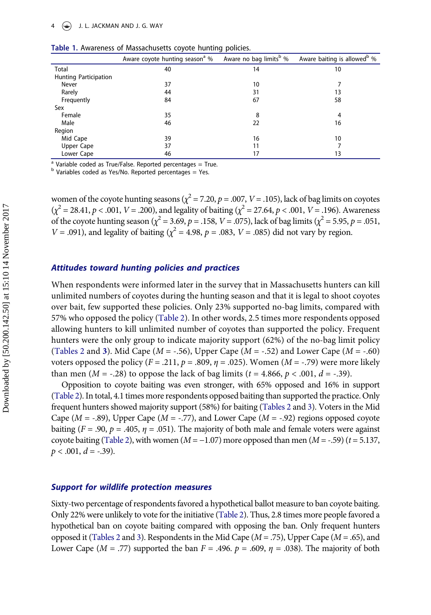|                       | Aware coyote hunting season <sup>a</sup> % | Aware no bag limits <sup>b</sup> % | Aware baiting is allowed <sup>b</sup> % |
|-----------------------|--------------------------------------------|------------------------------------|-----------------------------------------|
| Total                 | 40                                         | 14                                 | 10                                      |
| Hunting Participation |                                            |                                    |                                         |
| Never                 | 37                                         | 10                                 |                                         |
| Rarely                | 44                                         | 31                                 | 13                                      |
| Frequently            | 84                                         | 67                                 | 58                                      |
| Sex                   |                                            |                                    |                                         |
| Female                | 35                                         | 8                                  | 4                                       |
| Male                  | 46                                         | 22                                 | 16                                      |
| Region                |                                            |                                    |                                         |
| Mid Cape              | 39                                         | 16                                 | 10                                      |
| Upper Cape            | 37                                         | 11                                 |                                         |
| Lower Cape            | 46                                         | 17                                 | 13                                      |

<span id="page-4-0"></span>

|  |  |  |  | Table 1. Awareness of Massachusetts coyote hunting policies. |  |  |  |
|--|--|--|--|--------------------------------------------------------------|--|--|--|
|--|--|--|--|--------------------------------------------------------------|--|--|--|

 $a$  Variable coded as True/False. Reported percentages = True.

 $<sup>b</sup>$  Variables coded as Yes/No. Reported percentages = Yes.</sup>

women of the coyote hunting seasons ( $\chi^2$  = 7.20, p = .007, V = .105), lack of bag limits on coyotes  $(\chi^2 = 28.41, p < .001, V = .200)$ , and legality of baiting ( $\chi^2 = 27.64, p < .001, V = .196$ ). Awareness of the coyote hunting season ( $\chi^2$  = 3.69, p = .158, V = .075), lack of bag limits ( $\chi^2$  = 5.95, p = .051,  $V = .091$ ), and legality of baiting ( $\chi^2 = 4.98$ ,  $p = .083$ ,  $V = .085$ ) did not vary by region.

#### Attitudes toward hunting policies and practices

When respondents were informed later in the survey that in Massachusetts hunters can kill unlimited numbers of coyotes during the hunting season and that it is legal to shoot coyotes over bait, few supported these policies. Only 23% supported no-bag limits, compared with 57% who opposed the policy [\(Table 2\)](#page-5-0). In other words, 2.5 times more respondents opposed allowing hunters to kill unlimited number of coyotes than supported the policy. Frequent hunters were the only group to indicate majority support (62%) of the no-bag limit policy ([Tables 2](#page-5-0) and [3](#page-5-1)). Mid Cape ( $M = -.56$ ), Upper Cape ( $M = -.52$ ) and Lower Cape ( $M = -.60$ ) voters opposed the policy  $(F = .211, p = .809, \eta = .025)$ . Women  $(M = -.79)$  were more likely than men ( $M = -.28$ ) to oppose the lack of bag limits ( $t = 4.866$ ,  $p < .001$ ,  $d = -.39$ ).

Opposition to coyote baiting was even stronger, with 65% opposed and 16% in support [\(Table 2\)](#page-5-0). In total, 4.1 times more respondents opposed baiting than supported the practice. Only frequent hunters showed majority support (58%) for baiting ([Tables 2](#page-5-0) and [3\)](#page-5-1). Voters in the Mid Cape ( $M = -0.89$ ), Upper Cape ( $M = -0.77$ ), and Lower Cape ( $M = -0.92$ ) regions opposed coyote baiting ( $F = .90$ ,  $p = .405$ ,  $\eta = .051$ ). The majority of both male and female voters were against coyote baiting ([Table 2](#page-5-0)), with women  $(M = -1.07)$  more opposed than men  $(M = -0.59)$  (t = 5.137,  $p < .001, d = -.39$ ).

#### Support for wildlife protection measures

Sixty-two percentage of respondents favored a hypothetical ballot measure to ban coyote baiting. Only 22% were unlikely to vote for the initiative [\(Table 2\)](#page-5-0). Thus, 2.8 times more people favored a hypothetical ban on coyote baiting compared with opposing the ban. Only frequent hunters opposed it [\(Tables 2](#page-5-0) and [3\)](#page-5-1). Respondents in the Mid Cape  $(M = .75)$ , Upper Cape  $(M = .65)$ , and Lower Cape ( $M = .77$ ) supported the ban  $F = .496$ .  $p = .609$ ,  $\eta = .038$ ). The majority of both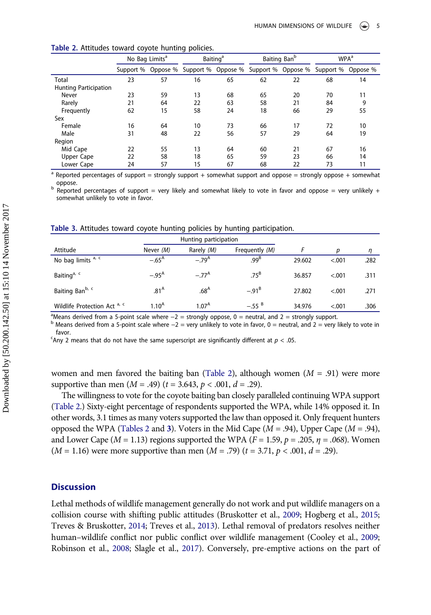|                              | No Bag Limits <sup>a</sup> |                    | Baiting Ban <sup>b</sup><br><b>Baiting</b> <sup>a</sup> |                    | WPA <sup>a</sup> |                    |           |          |
|------------------------------|----------------------------|--------------------|---------------------------------------------------------|--------------------|------------------|--------------------|-----------|----------|
|                              |                            | Support % Oppose % |                                                         | Support % Oppose % |                  | Support % Oppose % | Support % | Oppose % |
| Total                        | 23                         | 57                 | 16                                                      | 65                 | 62               | 22                 | 68        | 14       |
| <b>Hunting Participation</b> |                            |                    |                                                         |                    |                  |                    |           |          |
| Never                        | 23                         | 59                 | 13                                                      | 68                 | 65               | 20                 | 70        | 11       |
| Rarely                       | 21                         | 64                 | 22                                                      | 63                 | 58               | 21                 | 84        | 9        |
| Frequently                   | 62                         | 15                 | 58                                                      | 24                 | 18               | 66                 | 29        | 55       |
| Sex                          |                            |                    |                                                         |                    |                  |                    |           |          |
| Female                       | 16                         | 64                 | 10                                                      | 73                 | 66               | 17                 | 72        | 10       |
| Male                         | 31                         | 48                 | 22                                                      | 56                 | 57               | 29                 | 64        | 19       |
| Region                       |                            |                    |                                                         |                    |                  |                    |           |          |
| Mid Cape                     | 22                         | 55                 | 13                                                      | 64                 | 60               | 21                 | 67        | 16       |
| Upper Cape                   | 22                         | 58                 | 18                                                      | 65                 | 59               | 23                 | 66        | 14       |
| Lower Cape                   | 24                         | 57                 | 15                                                      | 67                 | 68               | 22                 | 73        | 11       |

#### <span id="page-5-0"></span>Table 2. Attitudes toward coyote hunting policies.

 $a$  Reported percentages of support = strongly support + somewhat support and oppose = strongly oppose + somewhat

oppose.<br><sup>b</sup> Reported percentages of support = very likely and somewhat likely to vote in favor and oppose = very unlikely + somewhat unlikely to vote in favor.

|                              |                   | Hunting participation |                   |        |        |      |
|------------------------------|-------------------|-----------------------|-------------------|--------|--------|------|
| Attitude                     | Never (M)         | Rarely (M)            | Frequently (M)    |        |        |      |
| No bag limits a, c           | $-.65^{\text{A}}$ | $-79^{A}$             | .99 <sup>B</sup>  | 29.602 | < .001 | .282 |
| Baiting <sup>a, c</sup>      | $-.95^{\text{A}}$ | $-77^{\rm A}$         | $.75^B$           | 36.857 | < 0.01 | .311 |
| Baiting Ban <sup>b, c</sup>  | .81 <sup>A</sup>  | .68 <sup>A</sup>      | $-.91^{\text{B}}$ | 27.802 | < .001 | .271 |
| Wildlife Protection Act a, c | 1.10 <sup>A</sup> | 1.07 <sup>A</sup>     | $-.55^{B}$        | 34.976 | < 0.01 | .306 |

#### <span id="page-5-1"></span>Table 3. Attitudes toward coyote hunting policies by hunting participation.

<sup>a</sup>Means derived from a 5-point scale where  $-2$  = strongly oppose, 0 = neutral, and 2 = strongly support.

 $<sup>b</sup>$  Means derived from a 5-point scale where -2 = very unlikely to vote in favor, 0 = neutral, and 2 = very likely to vote in</sup>

- favor.<br><sup>-</sup>Any 2 means that do not have the same superscript are significantly different at  $p < .05$ .

women and men favored the baiting ban [\(Table 2](#page-5-0)), although women  $(M = .91)$  were more supportive than men  $(M = .49)$   $(t = 3.643, p < .001, d = .29)$ .

The willingness to vote for the coyote baiting ban closely paralleled continuing WPA support [\(Table 2](#page-5-0).) Sixty-eight percentage of respondents supported the WPA, while 14% opposed it. In other words, 3.1 times as many voters supported the law than opposed it. Only frequent hunters opposed the WPA [\(Tables 2](#page-5-0) and [3](#page-5-1)). Voters in the Mid Cape ( $M = .94$ ), Upper Cape ( $M = .94$ ), and Lower Cape ( $M = 1.13$ ) regions supported the WPA ( $F = 1.59$ ,  $p = .205$ ,  $\eta = .068$ ). Women  $(M = 1.16)$  were more supportive than men  $(M = .79)$   $(t = 3.71, p < .001, d = .29)$ .

## **Discussion**

Lethal methods of wildlife management generally do not work and put wildlife managers on a collision course with shifting public attitudes (Bruskotter et al., [2009](#page-7-0); Hogberg et al., [2015;](#page-7-7) Treves & Bruskotter, [2014;](#page-8-9) Treves et al., [2013\)](#page-9-0). Lethal removal of predators resolves neither human–wildlife conflict nor public conflict over wildlife management (Cooley et al., [2009;](#page-7-4) Robinson et al., [2008](#page-8-2); Slagle et al., [2017](#page-8-10)). Conversely, pre-emptive actions on the part of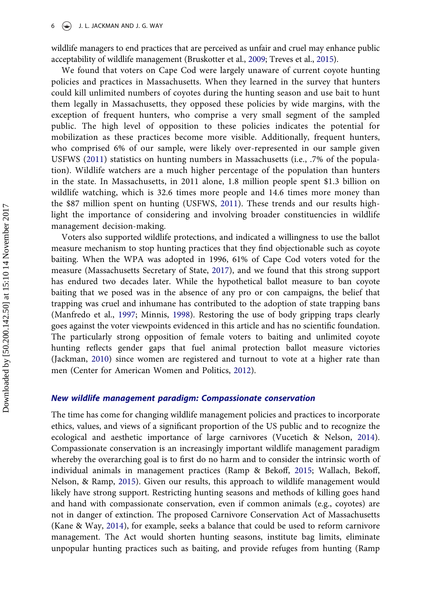$\left(\bigstar\right)$  J. L. JACKMAN AND J. G. WAY

wildlife managers to end practices that are perceived as unfair and cruel may enhance public acceptability of wildlife management (Bruskotter et al., [2009](#page-7-0); Treves et al., [2015\)](#page-8-0).

We found that voters on Cape Cod were largely unaware of current coyote hunting policies and practices in Massachusetts. When they learned in the survey that hunters could kill unlimited numbers of coyotes during the hunting season and use bait to hunt them legally in Massachusetts, they opposed these policies by wide margins, with the exception of frequent hunters, who comprise a very small segment of the sampled public. The high level of opposition to these policies indicates the potential for mobilization as these practices become more visible. Additionally, frequent hunters, who comprised 6% of our sample, were likely over-represented in our sample given USFWS ([2011\)](#page-9-5) statistics on hunting numbers in Massachusetts (i.e., .7% of the population). Wildlife watchers are a much higher percentage of the population than hunters in the state. In Massachusetts, in 2011 alone, 1.8 million people spent \$1.3 billion on wildlife watching, which is 32.6 times more people and 14.6 times more money than the \$87 million spent on hunting (USFWS, [2011](#page-9-5)). These trends and our results highlight the importance of considering and involving broader constituencies in wildlife management decision-making.

Voters also supported wildlife protections, and indicated a willingness to use the ballot measure mechanism to stop hunting practices that they find objectionable such as coyote baiting. When the WPA was adopted in 1996, 61% of Cape Cod voters voted for the measure (Massachusetts Secretary of State, [2017\)](#page-8-17), and we found that this strong support has endured two decades later. While the hypothetical ballot measure to ban coyote baiting that we posed was in the absence of any pro or con campaigns, the belief that trapping was cruel and inhumane has contributed to the adoption of state trapping bans (Manfredo et al., [1997](#page-8-7); Minnis, [1998](#page-8-8)). Restoring the use of body gripping traps clearly goes against the voter viewpoints evidenced in this article and has no scientific foundation. The particularly strong opposition of female voters to baiting and unlimited coyote hunting reflects gender gaps that fuel animal protection ballot measure victories (Jackman, [2010](#page-8-18)) since women are registered and turnout to vote at a higher rate than men (Center for American Women and Politics, [2012](#page-7-12)).

#### New wildlife management paradigm: Compassionate conservation

The time has come for changing wildlife management policies and practices to incorporate ethics, values, and views of a significant proportion of the US public and to recognize the ecological and aesthetic importance of large carnivores (Vucetich & Nelson, [2014](#page-9-6)). Compassionate conservation is an increasingly important wildlife management paradigm whereby the overarching goal is to first do no harm and to consider the intrinsic worth of individual animals in management practices (Ramp & Bekoff, [2015;](#page-8-19) Wallach, Bekoff, Nelson, & Ramp, [2015\)](#page-9-7). Given our results, this approach to wildlife management would likely have strong support. Restricting hunting seasons and methods of killing goes hand and hand with compassionate conservation, even if common animals (e.g., coyotes) are not in danger of extinction. The proposed Carnivore Conservation Act of Massachusetts (Kane & Way, [2014\)](#page-8-11), for example, seeks a balance that could be used to reform carnivore management. The Act would shorten hunting seasons, institute bag limits, eliminate unpopular hunting practices such as baiting, and provide refuges from hunting (Ramp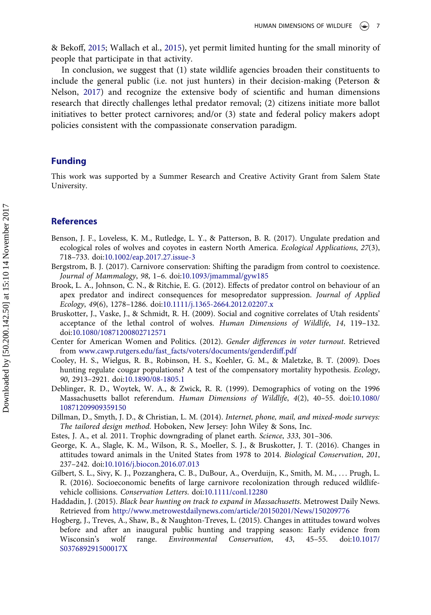& Bekoff, [2015](#page-8-19); Wallach et al., [2015](#page-9-7)), yet permit limited hunting for the small minority of people that participate in that activity.

In conclusion, we suggest that (1) state wildlife agencies broaden their constituents to include the general public (i.e. not just hunters) in their decision-making (Peterson & Nelson, [2017\)](#page-8-20) and recognize the extensive body of scientific and human dimensions research that directly challenges lethal predator removal; (2) citizens initiate more ballot initiatives to better protect carnivores; and/or (3) state and federal policy makers adopt policies consistent with the compassionate conservation paradigm.

## Funding

This work was supported by a Summer Research and Creative Activity Grant from Salem State University.

#### References

- <span id="page-7-10"></span>Benson, J. F., Loveless, K. M., Rutledge, L. Y., & Patterson, B. R. (2017). Ungulate predation and ecological roles of wolves and coyotes in eastern North America. Ecological Applications, 27(3), 718–733. doi:[10.1002/eap.2017.27.issue-3](https://doi.org/10.1002/eap.2017.27.issue-3)
- <span id="page-7-5"></span>Bergstrom, B. J. (2017). Carnivore conservation: Shifting the paradigm from control to coexistence. Journal of Mammalogy, 98, 1–6. doi:[10.1093/jmammal/gyw185](https://doi.org/10.1093/jmammal/gyw185)
- <span id="page-7-3"></span>Brook, L. A., Johnson, C. N., & Ritchie, E. G. (2012). Effects of predator control on behaviour of an apex predator and indirect consequences for mesopredator suppression. Journal of Applied Ecology, 49(6), 1278–1286. doi:[10.1111/j.1365-2664.2012.02207.x](https://doi.org/10.1111/j.1365-2664.2012.02207.x)
- <span id="page-7-0"></span>Bruskotter, J., Vaske, J., & Schmidt, R. H. (2009). Social and cognitive correlates of Utah residents' acceptance of the lethal control of wolves. Human Dimensions of Wildlife, 14, 119–132. doi:[10.1080/10871200802712571](https://doi.org/10.1080/10871200802712571)
- <span id="page-7-12"></span>Center for American Women and Politics. (2012). Gender differences in voter turnout. Retrieved from [www.cawp.rutgers.edu/fast\\_facts/voters/documents/genderdi](http://www.cawp.rutgers.edu/fast_facts/voters/documents/genderdiff.pdf)ff.pdf
- <span id="page-7-4"></span>Cooley, H. S., Wielgus, R. B., Robinson, H. S., Koehler, G. M., & Maletzke, B. T. (2009). Does hunting regulate cougar populations? A test of the compensatory mortality hypothesis. Ecology, 90, 2913–2921. doi:[10.1890/08-1805.1](https://doi.org/10.1890/08-1805.1)
- <span id="page-7-8"></span>Deblinger, R. D., Woytek, W. A., & Zwick, R. R. (1999). Demographics of voting on the 1996 Massachusetts ballot referendum. Human Dimensions of Wildlife, 4(2), 40–55. doi:[10.1080/](https://doi.org/10.1080/10871209909359150) [10871209909359150](https://doi.org/10.1080/10871209909359150)
- <span id="page-7-11"></span>Dillman, D., Smyth, J. D., & Christian, L. M. (2014). Internet, phone, mail, and mixed-mode surveys: The tailored design method. Hoboken, New Jersey: John Wiley & Sons, Inc.
- <span id="page-7-1"></span>Estes, J. A., et al. 2011. Trophic downgrading of planet earth. Science, 333, 301–306.
- <span id="page-7-6"></span>George, K. A., Slagle, K. M., Wilson, R. S., Moeller, S. J., & Bruskotter, J. T. (2016). Changes in attitudes toward animals in the United States from 1978 to 2014. Biological Conservation, 201, 237–242. doi:[10.1016/j.biocon.2016.07.013](https://doi.org/10.1016/j.biocon.2016.07.013)
- <span id="page-7-2"></span>Gilbert, S. L., Sivy, K. J., Pozzanghera, C. B., DuBour, A., Overduijn, K., Smith, M. M., . . . Prugh, L. R. (2016). Socioeconomic benefits of large carnivore recolonization through reduced wildlifevehicle collisions. Conservation Letters. doi:[10.1111/conl.12280](https://doi.org/10.1111/conl.12280)
- <span id="page-7-9"></span>Haddadin, J. (2015). Black bear hunting on track to expand in Massachusetts. Metrowest Daily News. Retrieved from <http://www.metrowestdailynews.com/article/20150201/News/150209776>
- <span id="page-7-7"></span>Hogberg, J., Treves, A., Shaw, B., & Naughton-Treves, L. (2015). Changes in attitudes toward wolves before and after an inaugural public hunting and trapping season: Early evidence from Wisconsin's wolf range. Environmental Conservation, 43, 45–55. doi:[10.1017/](https://doi.org/10.1017/S037689291500017X) [S037689291500017X](https://doi.org/10.1017/S037689291500017X)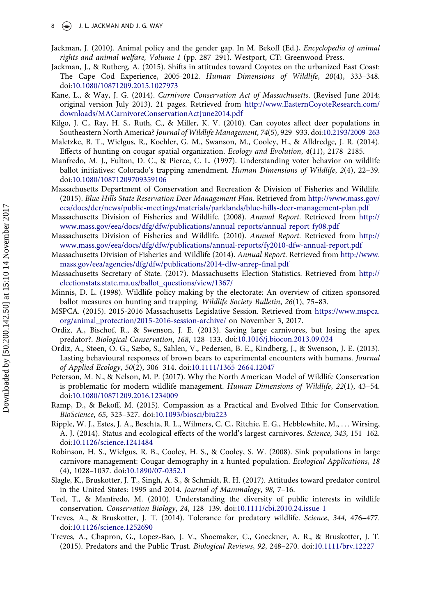- $8 \quad (*)$  J. L. JACKMAN AND J. G. WAY
- <span id="page-8-18"></span>Jackman, J. (2010). Animal policy and the gender gap. In M. Bekoff (Ed.), Encyclopedia of animal rights and animal welfare, Volume 1 (pp. 287–291). Westport, CT: Greenwood Press.
- <span id="page-8-5"></span>Jackman, J., & Rutberg, A. (2015). Shifts in attitudes toward Coyotes on the urbanized East Coast: The Cape Cod Experience, 2005-2012. Human Dimensions of Wildlife, 20(4), 333–348. doi:[10.1080/10871209.2015.1027973](https://doi.org/10.1080/10871209.2015.1027973)
- <span id="page-8-11"></span>Kane, L., & Way, J. G. (2014). Carnivore Conservation Act of Massachusetts. (Revised June 2014; original version July 2013). 21 pages. Retrieved from [http://www.EasternCoyoteResearch.com/](http://www.EasternCoyoteResearch.com/downloads/MACarnivoreConservationActJune2014.pdf) [downloads/MACarnivoreConservationActJune2014.pdf](http://www.EasternCoyoteResearch.com/downloads/MACarnivoreConservationActJune2014.pdf)
- <span id="page-8-16"></span>Kilgo, J. C., Ray, H. S., Ruth, C., & Miller, K. V. (2010). Can coyotes affect deer populations in Southeastern North America? Journal of Wildlife Management, 74(5), 929-933. doi:[10.2193/2009-263](https://doi.org/10.2193/2009-263)
- <span id="page-8-4"></span>Maletzke, B. T., Wielgus, R., Koehler, G. M., Swanson, M., Cooley, H., & Alldredge, J. R. (2014). Effects of hunting on cougar spatial organization. Ecology and Evolution, 4(11), 2178–2185.
- <span id="page-8-7"></span>Manfredo, M. J., Fulton, D. C., & Pierce, C. L. (1997). Understanding voter behavior on wildlife ballot initiatives: Colorado's trapping amendment. Human Dimensions of Wildlife, 2(4), 22–39. doi:[10.1080/10871209709359106](https://doi.org/10.1080/10871209709359106)
- <span id="page-8-15"></span>Massachusetts Department of Conservation and Recreation & Division of Fisheries and Wildlife. (2015). Blue Hills State Reservation Deer Management Plan. Retrieved from [http://www.mass.gov/](http://www.mass.gov/eea/docs/dcr/news/public-meetings/materials/parklands/blue-hills-deer-management-plan.pdf) [eea/docs/dcr/news/public-meetings/materials/parklands/blue-hills-deer-management-plan.pdf](http://www.mass.gov/eea/docs/dcr/news/public-meetings/materials/parklands/blue-hills-deer-management-plan.pdf)
- <span id="page-8-12"></span>Massachusetts Division of Fisheries and Wildlife. (2008). Annual Report. Retrieved from [http://](http://www.mass.gov/eea/docs/dfg/dfw/publications/annual-reports/annual-report-fy08.pdf) [www.mass.gov/eea/docs/dfg/dfw/publications/annual-reports/annual-report-fy08.pdf](http://www.mass.gov/eea/docs/dfg/dfw/publications/annual-reports/annual-report-fy08.pdf)
- Massachusetts Division of Fisheries and Wildlife. (2010). Annual Report. Retrieved from [http://](http://www.mass.gov/eea/docs/dfg/dfw/publications/annual-reports/fy2010-dfw-annual-report.pdf) [www.mass.gov/eea/docs/dfg/dfw/publications/annual-reports/fy2010-dfw-annual-report.pdf](http://www.mass.gov/eea/docs/dfg/dfw/publications/annual-reports/fy2010-dfw-annual-report.pdf)
- <span id="page-8-14"></span>Massachusetts Division of Fisheries and Wildlife (2014). Annual Report. Retrieved from [http://www.](http://www.mass.gov/eea/agencies/dfg/dfw/publications/2014-dfw-anrep-final.pdf) [mass.gov/eea/agencies/dfg/dfw/publications/2014-dfw-anrep-](http://www.mass.gov/eea/agencies/dfg/dfw/publications/2014-dfw-anrep-final.pdf)final.pdf
- <span id="page-8-17"></span>Massachusetts Secretary of State. (2017). Massachusetts Election Statistics. Retrieved from [http://](http://electionstats.state.ma.us/ballot_questions/view/1367/) [electionstats.state.ma.us/ballot\\_questions/view/1367/](http://electionstats.state.ma.us/ballot_questions/view/1367/)
- <span id="page-8-8"></span>Minnis, D. L. (1998). Wildlife policy-making by the electorate: An overview of citizen-sponsored ballot measures on hunting and trapping. Wildlife Society Bulletin, 26(1), 75-83.
- <span id="page-8-13"></span>MSPCA. (2015). 2015-2016 Massachusetts Legislative Session. Retrieved from [https://www.mspca.](https://www.mspca.org/animal_protection/2015-2016-session-archive/) [org/animal\\_protection/2015-2016-session-archive/](https://www.mspca.org/animal_protection/2015-2016-session-archive/) on November 3, 2017.
- <span id="page-8-3"></span>Ordiz, A., Bischof, R., & Swenson, J. E. (2013). Saving large carnivores, but losing the apex predator?. Biological Conservation, 168, 128–133. doi:[10.1016/j.biocon.2013.09.024](https://doi.org/10.1016/j.biocon.2013.09.024)
- Ordiz, A., Støen, O. G., Sæbø, S., Sahlen, V., Pedersen, B. E., Kindberg, J., & Swenson, J. E. (2013). Lasting behavioural responses of brown bears to experimental encounters with humans. Journal of Applied Ecology, 50(2), 306–314. doi:[10.1111/1365-2664.12047](https://doi.org/10.1111/1365-2664.12047)
- <span id="page-8-20"></span>Peterson, M. N., & Nelson, M. P. (2017). Why the North American Model of Wildlife Conservation is problematic for modern wildlife management. Human Dimensions of Wildlife, 22(1), 43–54. doi:[10.1080/10871209.2016.1234009](https://doi.org/10.1080/10871209.2016.1234009)
- <span id="page-8-19"></span>Ramp, D., & Bekoff, M. (2015). Compassion as a Practical and Evolved Ethic for Conservation. BioScience, 65, 323–327. doi:[10.1093/biosci/biu223](https://doi.org/10.1093/biosci/biu223)
- <span id="page-8-1"></span>Ripple, W. J., Estes, J. A., Beschta, R. L., Wilmers, C. C., Ritchie, E. G., Hebblewhite, M., . . . Wirsing, A. J. (2014). Status and ecological effects of the world's largest carnivores. Science, 343, 151–162. doi:[10.1126/science.1241484](https://doi.org/10.1126/science.1241484)
- <span id="page-8-2"></span>Robinson, H. S., Wielgus, R. B., Cooley, H. S., & Cooley, S. W. (2008). Sink populations in large carnivore management: Cougar demography in a hunted population. Ecological Applications, 18 (4), 1028–1037. doi:[10.1890/07-0352.1](https://doi.org/10.1890/07-0352.1)
- <span id="page-8-10"></span>Slagle, K., Bruskotter, J. T., Singh, A. S., & Schmidt, R. H. (2017). Attitudes toward predator control in the United States: 1995 and 2014. Journal of Mammalogy, 98, 7–16.
- <span id="page-8-6"></span>Teel, T., & Manfredo, M. (2010). Understanding the diversity of public interests in wildlife conservation. Conservation Biology, 24, 128–139. doi:[10.1111/cbi.2010.24.issue-1](https://doi.org/10.1111/cbi.2010.24.issue-1)
- <span id="page-8-9"></span>Treves, A., & Bruskotter, J. T. (2014). Tolerance for predatory wildlife. Science, 344, 476–477. doi:[10.1126/science.1252690](https://doi.org/10.1126/science.1252690)
- <span id="page-8-0"></span>Treves, A., Chapron, G., Lopez-Bao, J. V., Shoemaker, C., Goeckner, A. R., & Bruskotter, J. T. (2015). Predators and the Public Trust. Biological Reviews, 92, 248–270. doi:[10.1111/brv.12227](https://doi.org/10.1111/brv.12227)